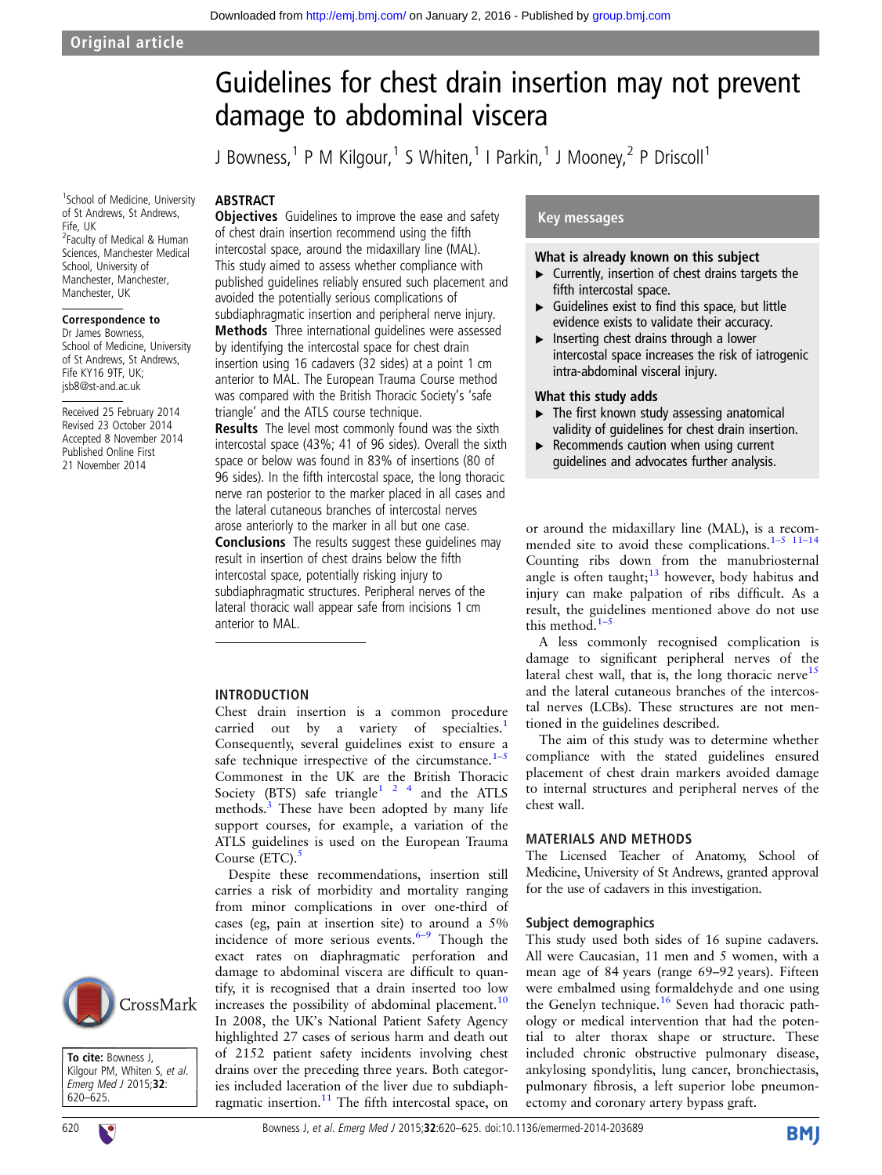# Guidelines for chest drain insertion may not prevent damage to abdominal viscera

J Bowness,<sup>1</sup> P M Kilgour,<sup>1</sup> S Whiten,<sup>1</sup> I Parkin,<sup>1</sup> J Mooney,<sup>2</sup> P Driscoll<sup>1</sup>

<sup>1</sup>School of Medicine, University of St Andrews, St Andrews, Fife, UK <sup>2</sup> Faculty of Medical & Human Sciences, Manchester Medical School, University of Manchester, Manchester, Manchester, UK

#### Correspondence to

Dr James Bowness, School of Medicine, University of St Andrews, St Andrews, Fife KY16 9TF, UK: jsb8@st-and.ac.uk

Received 25 February 2014 Revised 23 October 2014 Accepted 8 November 2014 Published Online First 21 November 2014

#### ABSTRACT

**Objectives** Guidelines to improve the ease and safety of chest drain insertion recommend using the fifth intercostal space, around the midaxillary line (MAL). This study aimed to assess whether compliance with published guidelines reliably ensured such placement and avoided the potentially serious complications of subdiaphragmatic insertion and peripheral nerve injury. Methods Three international guidelines were assessed by identifying the intercostal space for chest drain insertion using 16 cadavers (32 sides) at a point 1 cm anterior to MAL. The European Trauma Course method was compared with the British Thoracic Society's 'safe triangle' and the ATLS course technique. Results The level most commonly found was the sixth intercostal space (43%; 41 of 96 sides). Overall the sixth space or below was found in 83% of insertions (80 of 96 sides). In the fifth intercostal space, the long thoracic nerve ran posterior to the marker placed in all cases and

the lateral cutaneous branches of intercostal nerves arose anteriorly to the marker in all but one case. Conclusions The results suggest these guidelines may result in insertion of chest drains below the fifth intercostal space, potentially risking injury to subdiaphragmatic structures. Peripheral nerves of the lateral thoracic wall appear safe from incisions 1 cm anterior to MAL.

#### INTRODUCTION

Chest drain insertion is a common procedure carried out by a variety of specialties.<sup>[1](#page-4-0)</sup> Consequently, several guidelines exist to ensure a safe technique irrespective of the circumstance. $1-5$  $1-5$ Commonest in the UK are the British Thoracic Society (BTS) safe triangle<sup>1 2 4</sup> and the ATLS methods.<sup>3</sup> These have been adopted by many life support courses, for example, a variation of the ATLS guidelines is used on the European Trauma Course  $(ETC)$ .<sup>[5](#page-4-0)</sup>

Despite these recommendations, insertion still carries a risk of morbidity and mortality ranging from minor complications in over one-third of cases (eg, pain at insertion site) to around a 5% incidence of more serious events. $6-9$  $6-9$  Though the exact rates on diaphragmatic perforation and damage to abdominal viscera are difficult to quantify, it is recognised that a drain inserted too low increases the possibility of abdominal placement.<sup>[10](#page-5-0)</sup> In 2008, the UK's National Patient Safety Agency

highlighted 27 cases of serious harm and death out of 2152 patient safety incidents involving chest drains over the preceding three years. Both categories included laceration of the liver due to subdiaph-ragmatic insertion.<sup>[11](#page-5-0)</sup> The fifth intercostal space, on

## Key messages

#### What is already known on this subject

- $\blacktriangleright$  Currently, insertion of chest drains targets the fifth intercostal space.
- $\blacktriangleright$  Guidelines exist to find this space, but little evidence exists to validate their accuracy.
- ▸ Inserting chest drains through a lower intercostal space increases the risk of iatrogenic intra-abdominal visceral injury.

#### What this study adds

- $\blacktriangleright$  The first known study assessing anatomical validity of guidelines for chest drain insertion.
- $\blacktriangleright$  Recommends caution when using current guidelines and advocates further analysis.

or around the midaxillary line (MAL), is [a re](#page-4-0)commended site to avoid these complications. $1-5$  [11](#page-5-0)-14 Counting ribs down from the manubriosternal angle is often taught; $13$  however, body habitus and injury can make palpation of ribs difficult. As a result, the guidelines mentioned above do not use this method. $1-5$ 

A less commonly recognised complication is damage to significant peripheral nerves of the lateral chest wall, that is, the long thoracic nerve<sup>[15](#page-5-0)</sup> and the lateral cutaneous branches of the intercostal nerves (LCBs). These structures are not mentioned in the guidelines described.

The aim of this study was to determine whether compliance with the stated guidelines ensured placement of chest drain markers avoided damage to internal structures and peripheral nerves of the chest wall.

#### MATERIALS AND METHODS

The Licensed Teacher of Anatomy, School of Medicine, University of St Andrews, granted approval for the use of cadavers in this investigation.

#### Subject demographics

This study used both sides of 16 supine cadavers. All were Caucasian, 11 men and 5 women, with a mean age of 84 years (range 69–92 years). Fifteen were embalmed using formaldehyde and one using the Genelyn technique.<sup>[16](#page-5-0)</sup> Seven had thoracic pathology or medical intervention that had the potential to alter thorax shape or structure. These included chronic obstructive pulmonary disease, ankylosing spondylitis, lung cancer, bronchiectasis, pulmonary fibrosis, a left superior lobe pneumonectomy and coronary artery bypass graft.



To cite: Bowness J, Kilgour PM, Whiten S, et al. Emerg Med J 2015;32: 620–625.

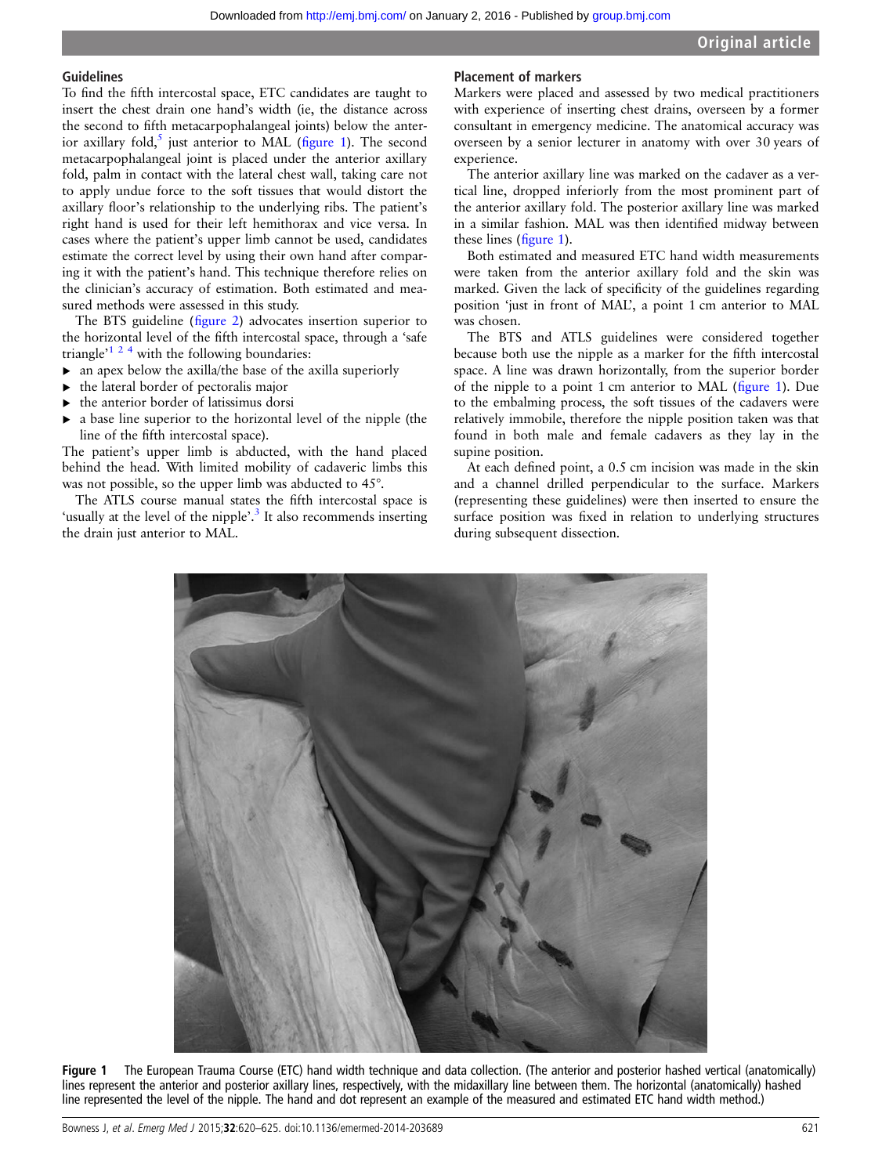#### Guidelines

To find the fifth intercostal space, ETC candidates are taught to insert the chest drain one hand's width (ie, the distance across the second to fifth metacarpophalangeal joints) below the anterior axillary fold, $5$  just anterior to MAL (figure 1). The second metacarpophalangeal joint is placed under the anterior axillary fold, palm in contact with the lateral chest wall, taking care not to apply undue force to the soft tissues that would distort the axillary floor's relationship to the underlying ribs. The patient's right hand is used for their left hemithorax and vice versa. In cases where the patient's upper limb cannot be used, candidates estimate the correct level by using their own hand after comparing it with the patient's hand. This technique therefore relies on the clinician's accuracy of estimation. Both estimated and measured methods were assessed in this study.

The BTS guideline (fi[gure 2\)](#page-2-0) advocates insertion superior to the horizontal level of the fifth intercostal space, through a 'safe triangle<sup>,1 2 4</sup> with the following boundaries:

- $\triangleright$  an apex below the axilla/the base of the axilla superiorly
- ▸ the lateral border of pectoralis major
- ▸ the anterior border of latissimus dorsi
- ▸ a base line superior to the horizontal level of the nipple (the line of the fifth intercostal space).

The patient's upper limb is abducted, with the hand placed behind the head. With limited mobility of cadaveric limbs this was not possible, so the upper limb was abducted to 45°.

The ATLS course manual states the fifth intercostal space is 'usually at the level of the nipple'.<sup>[3](#page-4-0)</sup> It also recommends inserting the drain just anterior to MAL.

## Placement of markers

Markers were placed and assessed by two medical practitioners with experience of inserting chest drains, overseen by a former consultant in emergency medicine. The anatomical accuracy was overseen by a senior lecturer in anatomy with over 30 years of experience.

The anterior axillary line was marked on the cadaver as a vertical line, dropped inferiorly from the most prominent part of the anterior axillary fold. The posterior axillary line was marked in a similar fashion. MAL was then identified midway between these lines (figure 1).

Both estimated and measured ETC hand width measurements were taken from the anterior axillary fold and the skin was marked. Given the lack of specificity of the guidelines regarding position 'just in front of MAL', a point 1 cm anterior to MAL was chosen.

The BTS and ATLS guidelines were considered together because both use the nipple as a marker for the fifth intercostal space. A line was drawn horizontally, from the superior border of the nipple to a point 1 cm anterior to MAL (figure 1). Due to the embalming process, the soft tissues of the cadavers were relatively immobile, therefore the nipple position taken was that found in both male and female cadavers as they lay in the supine position.

At each defined point, a 0.5 cm incision was made in the skin and a channel drilled perpendicular to the surface. Markers (representing these guidelines) were then inserted to ensure the surface position was fixed in relation to underlying structures during subsequent dissection.



Figure 1 The European Trauma Course (ETC) hand width technique and data collection. (The anterior and posterior hashed vertical (anatomically) lines represent the anterior and posterior axillary lines, respectively, with the midaxillary line between them. The horizontal (anatomically) hashed line represented the level of the nipple. The hand and dot represent an example of the measured and estimated ETC hand width method.)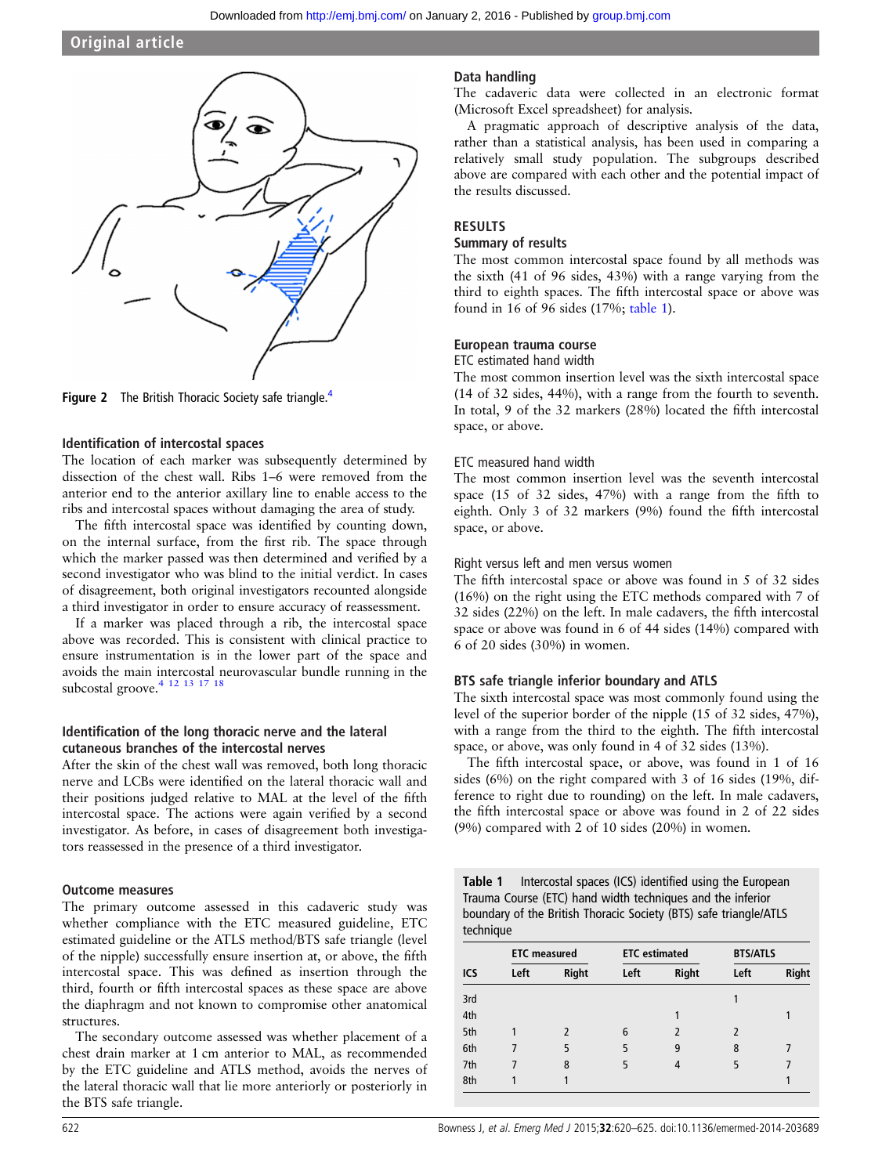<span id="page-2-0"></span>

Figure 2 The British Thoracic Society safe triangle.<sup>[4](#page-4-0)</sup>

## Identification of intercostal spaces

The location of each marker was subsequently determined by dissection of the chest wall. Ribs 1–6 were removed from the anterior end to the anterior axillary line to enable access to the ribs and intercostal spaces without damaging the area of study.

The fifth intercostal space was identified by counting down, on the internal surface, from the first rib. The space through which the marker passed was then determined and verified by a second investigator who was blind to the initial verdict. In cases of disagreement, both original investigators recounted alongside a third investigator in order to ensure accuracy of reassessment.

If a marker was placed through a rib, the intercostal space above was recorded. This is consistent with clinical practice to ensure instrumentation is in the lower part of the space and avoids the main intercostal neurovascular bundle running in the subcostal groove[.4](#page-4-0) [12 13 17 18](#page-5-0)

## Identification of the long thoracic nerve and the lateral cutaneous branches of the intercostal nerves

After the skin of the chest wall was removed, both long thoracic nerve and LCBs were identified on the lateral thoracic wall and their positions judged relative to MAL at the level of the fifth intercostal space. The actions were again verified by a second investigator. As before, in cases of disagreement both investigators reassessed in the presence of a third investigator.

## Outcome measures

The primary outcome assessed in this cadaveric study was whether compliance with the ETC measured guideline, ETC estimated guideline or the ATLS method/BTS safe triangle (level of the nipple) successfully ensure insertion at, or above, the fifth intercostal space. This was defined as insertion through the third, fourth or fifth intercostal spaces as these space are above the diaphragm and not known to compromise other anatomical structures.

The secondary outcome assessed was whether placement of a chest drain marker at 1 cm anterior to MAL, as recommended by the ETC guideline and ATLS method, avoids the nerves of the lateral thoracic wall that lie more anteriorly or posteriorly in the BTS safe triangle.

## Data handling

The cadaveric data were collected in an electronic format (Microsoft Excel spreadsheet) for analysis.

A pragmatic approach of descriptive analysis of the data, rather than a statistical analysis, has been used in comparing a relatively small study population. The subgroups described above are compared with each other and the potential impact of the results discussed.

## RESULTS

## Summary of results

The most common intercostal space found by all methods was the sixth (41 of 96 sides, 43%) with a range varying from the third to eighth spaces. The fifth intercostal space or above was found in 16 of 96 sides (17%; table 1).

## European trauma course

## ETC estimated hand width

The most common insertion level was the sixth intercostal space (14 of 32 sides, 44%), with a range from the fourth to seventh. In total, 9 of the 32 markers (28%) located the fifth intercostal space, or above.

## ETC measured hand width

The most common insertion level was the seventh intercostal space (15 of 32 sides, 47%) with a range from the fifth to eighth. Only 3 of 32 markers (9%) found the fifth intercostal space, or above.

## Right versus left and men versus women

The fifth intercostal space or above was found in 5 of 32 sides (16%) on the right using the ETC methods compared with 7 of 32 sides (22%) on the left. In male cadavers, the fifth intercostal space or above was found in 6 of 44 sides (14%) compared with 6 of 20 sides (30%) in women.

## BTS safe triangle inferior boundary and ATLS

The sixth intercostal space was most commonly found using the level of the superior border of the nipple (15 of 32 sides, 47%), with a range from the third to the eighth. The fifth intercostal space, or above, was only found in 4 of 32 sides (13%).

The fifth intercostal space, or above, was found in 1 of 16 sides (6%) on the right compared with 3 of 16 sides (19%, difference to right due to rounding) on the left. In male cadavers, the fifth intercostal space or above was found in 2 of 22 sides (9%) compared with 2 of 10 sides (20%) in women.

| Table 1   | Intercostal spaces (ICS) identified using the European            |
|-----------|-------------------------------------------------------------------|
|           | Trauma Course (ETC) hand width techniques and the inferior        |
|           | boundary of the British Thoracic Society (BTS) safe triangle/ATLS |
| technique |                                                                   |

| <b>ETC</b> measured |      |               | <b>ETC</b> estimated |                          | <b>BTS/ATLS</b> |       |
|---------------------|------|---------------|----------------------|--------------------------|-----------------|-------|
| ICS                 | Left | <b>Right</b>  | Left                 | Right                    | Left            | Right |
| 3rd                 |      |               |                      |                          |                 |       |
| 4th                 |      |               |                      |                          |                 |       |
| 5th                 |      | $\mathfrak z$ | 6                    | $\overline{\phantom{0}}$ | $\mathcal{P}$   |       |
| 6th                 |      | 5             | 5                    | 9                        | 8               |       |
| 7th                 |      | 8             | 5                    | 4                        | 5               |       |
| 8th                 |      |               |                      |                          |                 |       |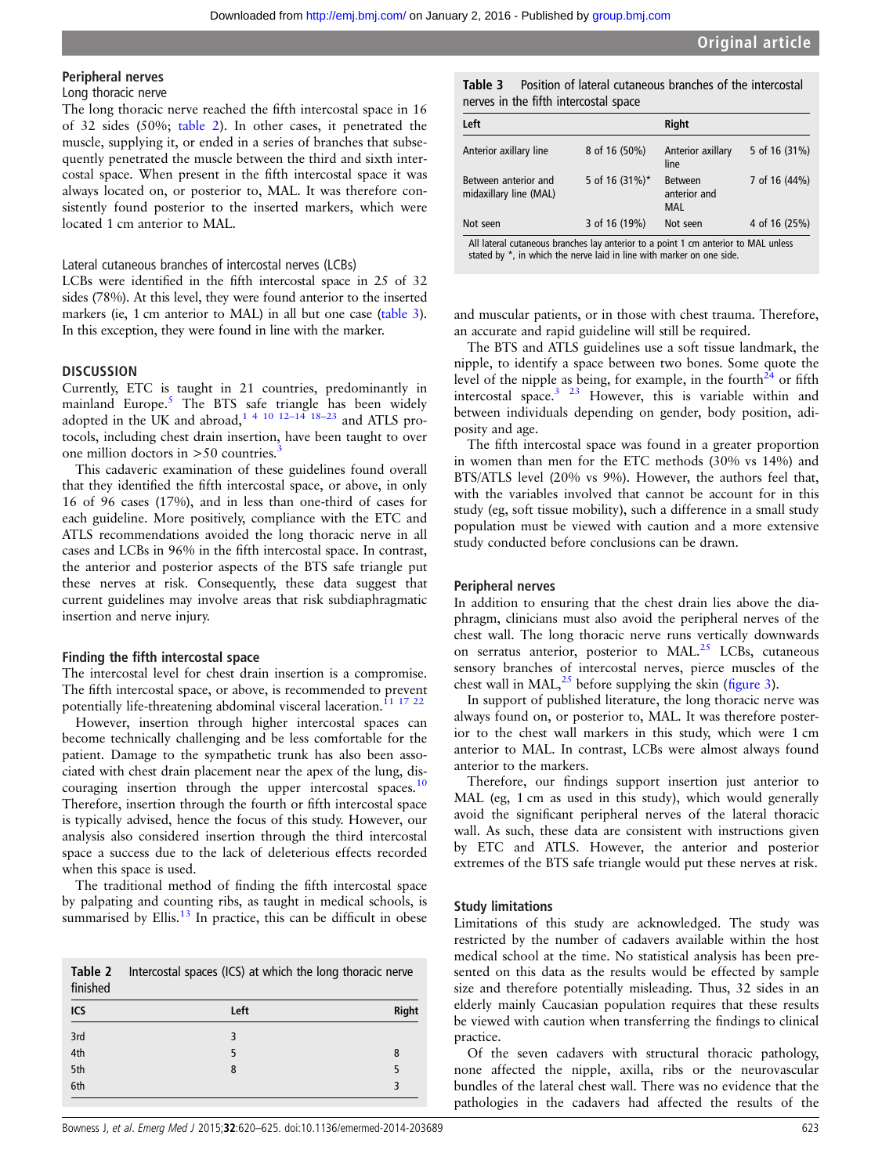## Peripheral nerves

#### Long thoracic nerve

The long thoracic nerve reached the fifth intercostal space in 16 of 32 sides (50%; table 2). In other cases, it penetrated the muscle, supplying it, or ended in a series of branches that subsequently penetrated the muscle between the third and sixth intercostal space. When present in the fifth intercostal space it was always located on, or posterior to, MAL. It was therefore consistently found posterior to the inserted markers, which were located 1 cm anterior to MAL.

#### Lateral cutaneous branches of intercostal nerves (LCBs)

LCBs were identified in the fifth intercostal space in 25 of 32 sides (78%). At this level, they were found anterior to the inserted markers (ie, 1 cm anterior to MAL) in all but one case (table 3). In this exception, they were found in line with the marker.

#### **DISCUSSION**

Currently, ETC is taught in 21 countries, predominantly in mainland Europe. $5$  The BTS safe triangle has been widely adopted in the UK and abroad,<sup>[1 4](#page-4-0) [10 12](#page-5-0)-14 18-[23](#page-5-0)</sup> and ATLS protocols, including chest drain insertion, have been taught to over one million doctors in  $>50$  countries.<sup>3</sup>

This cadaveric examination of these guidelines found overall that they identified the fifth intercostal space, or above, in only 16 of 96 cases (17%), and in less than one-third of cases for each guideline. More positively, compliance with the ETC and ATLS recommendations avoided the long thoracic nerve in all cases and LCBs in 96% in the fifth intercostal space. In contrast, the anterior and posterior aspects of the BTS safe triangle put these nerves at risk. Consequently, these data suggest that current guidelines may involve areas that risk subdiaphragmatic insertion and nerve injury.

#### Finding the fifth intercostal space

The intercostal level for chest drain insertion is a compromise. The fifth intercostal space, or above, is recommended to prevent potentially life-threatening abdominal visceral laceration.<sup>[11 17 22](#page-5-0)</sup>

However, insertion through higher intercostal spaces can become technically challenging and be less comfortable for the patient. Damage to the sympathetic trunk has also been associated with chest drain placement near the apex of the lung, dis-couraging insertion through the upper intercostal spaces.<sup>[10](#page-5-0)</sup> Therefore, insertion through the fourth or fifth intercostal space is typically advised, hence the focus of this study. However, our analysis also considered insertion through the third intercostal space a success due to the lack of deleterious effects recorded when this space is used.

The traditional method of finding the fifth intercostal space by palpating and counting ribs, as taught in medical schools, is summarised by Ellis.<sup>13</sup> In practice, this can be difficult in obese

|          | <b>Table 2</b> Intercostal spaces (ICS) at which the long thoracic nerve |  |  |
|----------|--------------------------------------------------------------------------|--|--|
| finished |                                                                          |  |  |

| ICS                      | Left | Right |
|--------------------------|------|-------|
|                          | 3    |       |
| 3rd<br>4th<br>5th<br>6th | 5    | 8     |
|                          | 8    | 5     |
|                          |      | 3     |

Table 3 Position of lateral cutaneous branches of the intercostal nerves in the fifth intercostal space

| Left                                           |                | <b>Right</b>                                 |               |
|------------------------------------------------|----------------|----------------------------------------------|---------------|
| Anterior axillary line                         | 8 of 16 (50%)  | Anterior axillary<br>line                    | 5 of 16 (31%) |
| Between anterior and<br>midaxillary line (MAL) | 5 of 16 (31%)* | <b>Between</b><br>anterior and<br><b>MAL</b> | 7 of 16 (44%) |
| Not seen                                       | 3 of 16 (19%)  | Not seen                                     | 4 of 16 (25%) |

stated by \*, in which the nerve laid in line with marker on one side.

and muscular patients, or in those with chest trauma. Therefore, an accurate and rapid guideline will still be required.

The BTS and ATLS guidelines use a soft tissue landmark, the nipple, to identify a space between two bones. Some quote the level of the nipple as being, for example, in the fourth<sup>[24](#page-5-0)</sup> or fifth intercostal space.[3](#page-4-0) [23](#page-5-0) However, this is variable within and between individuals depending on gender, body position, adiposity and age.

The fifth intercostal space was found in a greater proportion in women than men for the ETC methods (30% vs 14%) and BTS/ATLS level (20% vs 9%). However, the authors feel that, with the variables involved that cannot be account for in this study (eg, soft tissue mobility), such a difference in a small study population must be viewed with caution and a more extensive study conducted before conclusions can be drawn.

#### Peripheral nerves

In addition to ensuring that the chest drain lies above the diaphragm, clinicians must also avoid the peripheral nerves of the chest wall. The long thoracic nerve runs vertically downwards on serratus anterior, posterior to MAL. $^{25}$  $^{25}$  $^{25}$  LCBs, cutaneous sensory branches of intercostal nerves, pierce muscles of the chest wall in MAL, $^{25}$  before supplying the skin (fi[gure 3](#page-4-0)).

In support of published literature, the long thoracic nerve was always found on, or posterior to, MAL. It was therefore posterior to the chest wall markers in this study, which were 1 cm anterior to MAL. In contrast, LCBs were almost always found anterior to the markers.

Therefore, our findings support insertion just anterior to MAL (eg, 1 cm as used in this study), which would generally avoid the significant peripheral nerves of the lateral thoracic wall. As such, these data are consistent with instructions given by ETC and ATLS. However, the anterior and posterior extremes of the BTS safe triangle would put these nerves at risk.

#### Study limitations

Limitations of this study are acknowledged. The study was restricted by the number of cadavers available within the host medical school at the time. No statistical analysis has been presented on this data as the results would be effected by sample size and therefore potentially misleading. Thus, 32 sides in an elderly mainly Caucasian population requires that these results be viewed with caution when transferring the findings to clinical practice.

Of the seven cadavers with structural thoracic pathology, none affected the nipple, axilla, ribs or the neurovascular bundles of the lateral chest wall. There was no evidence that the pathologies in the cadavers had affected the results of the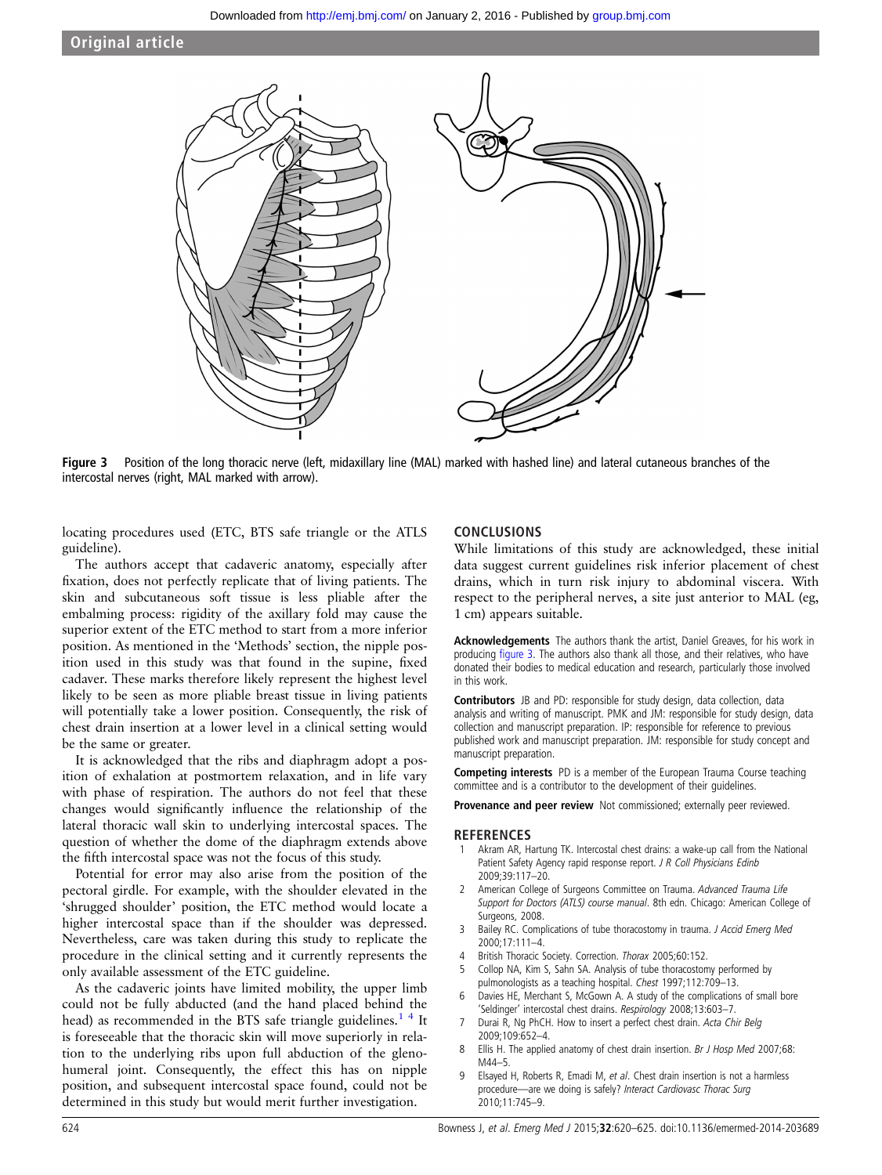<span id="page-4-0"></span>

Figure 3 Position of the long thoracic nerve (left, midaxillary line (MAL) marked with hashed line) and lateral cutaneous branches of the intercostal nerves (right, MAL marked with arrow).

locating procedures used (ETC, BTS safe triangle or the ATLS guideline).

The authors accept that cadaveric anatomy, especially after fixation, does not perfectly replicate that of living patients. The skin and subcutaneous soft tissue is less pliable after the embalming process: rigidity of the axillary fold may cause the superior extent of the ETC method to start from a more inferior position. As mentioned in the 'Methods' section, the nipple position used in this study was that found in the supine, fixed cadaver. These marks therefore likely represent the highest level likely to be seen as more pliable breast tissue in living patients will potentially take a lower position. Consequently, the risk of chest drain insertion at a lower level in a clinical setting would be the same or greater.

It is acknowledged that the ribs and diaphragm adopt a position of exhalation at postmortem relaxation, and in life vary with phase of respiration. The authors do not feel that these changes would significantly influence the relationship of the lateral thoracic wall skin to underlying intercostal spaces. The question of whether the dome of the diaphragm extends above the fifth intercostal space was not the focus of this study.

Potential for error may also arise from the position of the pectoral girdle. For example, with the shoulder elevated in the 'shrugged shoulder' position, the ETC method would locate a higher intercostal space than if the shoulder was depressed. Nevertheless, care was taken during this study to replicate the procedure in the clinical setting and it currently represents the only available assessment of the ETC guideline.

As the cadaveric joints have limited mobility, the upper limb could not be fully abducted (and the hand placed behind the head) as recommended in the BTS safe triangle guidelines.<sup>1</sup> <sup>4</sup> It is foreseeable that the thoracic skin will move superiorly in relation to the underlying ribs upon full abduction of the glenohumeral joint. Consequently, the effect this has on nipple position, and subsequent intercostal space found, could not be determined in this study but would merit further investigation.

#### **CONCLUSIONS**

While limitations of this study are acknowledged, these initial data suggest current guidelines risk inferior placement of chest drains, which in turn risk injury to abdominal viscera. With respect to the peripheral nerves, a site just anterior to MAL (eg, 1 cm) appears suitable.

Acknowledgements The authors thank the artist, Daniel Greaves, for his work in producing figure 3. The authors also thank all those, and their relatives, who have donated their bodies to medical education and research, particularly those involved in this work.

Contributors JB and PD: responsible for study design, data collection, data analysis and writing of manuscript. PMK and JM: responsible for study design, data collection and manuscript preparation. IP: responsible for reference to previous published work and manuscript preparation. JM: responsible for study concept and manuscript preparation.

Competing interests PD is a member of the European Trauma Course teaching committee and is a contributor to the development of their guidelines.

Provenance and peer review Not commissioned; externally peer reviewed.

#### **REFERENCES**

- Akram AR, Hartung TK. Intercostal chest drains: a wake-up call from the National Patient Safety Agency rapid response report. J R Coll Physicians Edinb 2009;39:117–20.
- American College of Surgeons Committee on Trauma. Advanced Trauma Life Support for Doctors (ATLS) course manual. 8th edn. Chicago: American College of Surgeons, 2008.
- 3 Bailey RC. Complications of tube thoracostomy in trauma. J Accid Emerg Med 2000;17:111–4.
- British Thoracic Society. Correction. Thorax 2005;60:152.
- 5 Collop NA, Kim S, Sahn SA. Analysis of tube thoracostomy performed by pulmonologists as a teaching hospital. Chest 1997;112:709–13.
- 6 Davies HE, Merchant S, McGown A. A study of the complications of small bore 'Seldinger' intercostal chest drains. Respirology 2008;13:603–7.
- 7 Durai R, Ng PhCH. How to insert a perfect chest drain. Acta Chir Belg 2009;109:652–4.
- 8 Ellis H. The applied anatomy of chest drain insertion. Br J Hosp Med 2007;68: M44–5.
- 9 Elsayed H, Roberts R, Emadi M, et al. Chest drain insertion is not a harmless procedure—are we doing is safely? Interact Cardiovasc Thorac Surg 2010;11:745–9.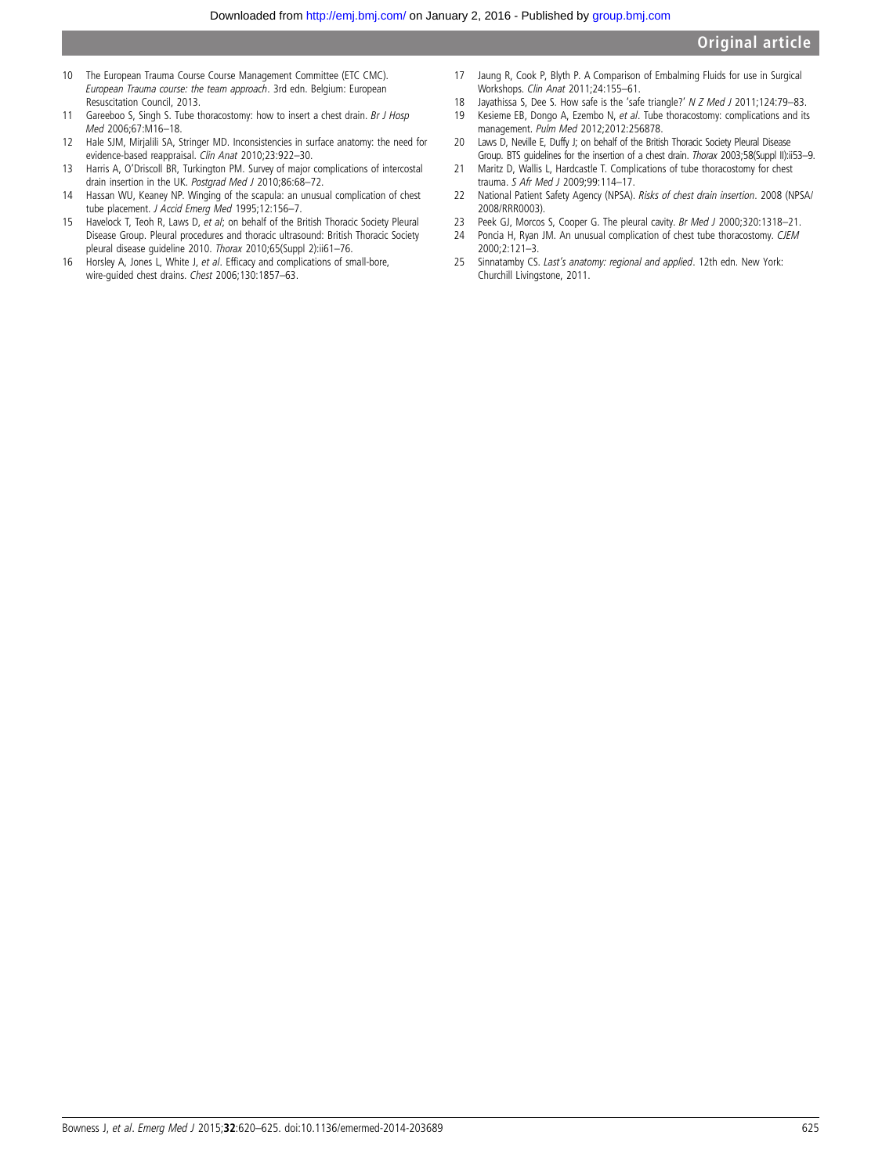- <span id="page-5-0"></span>10 The European Trauma Course Course Management Committee (ETC CMC). European Trauma course: the team approach. 3rd edn. Belgium: European Resuscitation Council, 2013.
- 11 Gareeboo S, Singh S. Tube thoracostomy: how to insert a chest drain. Br J Hosp Med 2006;67:M16–18.
- 12 Hale SJM, Mirjalili SA, Stringer MD. Inconsistencies in surface anatomy: the need for evidence-based reappraisal. Clin Anat 2010;23:922–30.
- 13 Harris A, O'Driscoll BR, Turkington PM. Survey of major complications of intercostal drain insertion in the UK. Postgrad Med J 2010;86:68-72.
- 14 Hassan WU, Keaney NP. Winging of the scapula: an unusual complication of chest tube placement. J Accid Emerg Med 1995;12:156–7.
- 15 Havelock T, Teoh R, Laws D, et al; on behalf of the British Thoracic Society Pleural Disease Group. Pleural procedures and thoracic ultrasound: British Thoracic Society pleural disease guideline 2010. Thorax 2010;65(Suppl 2):ii61–76.
- 16 Horsley A, Jones L, White J, et al. Efficacy and complications of small-bore, wire-guided chest drains. Chest 2006;130:1857–63.
- 17 Jaung R, Cook P, Blyth P. A Comparison of Embalming Fluids for use in Surgical Workshops. Clin Anat 2011;24:155–61.
- 18 Jayathissa S, Dee S. How safe is the 'safe triangle?' N Z Med J 2011;124:79–83. 19 Kesieme EB, Dongo A, Ezembo N, et al. Tube thoracostomy: complications and its management. Pulm Med 2012;2012:256878.
- 20 Laws D, Neville E, Duffy J; on behalf of the British Thoracic Society Pleural Disease Group. BTS guidelines for the insertion of a chest drain. Thorax 2003;58(Suppl II):ii53–9.
- 21 Maritz D, Wallis L, Hardcastle T. Complications of tube thoracostomy for chest trauma. S Afr Med J 2009;99:114–17.
- 22 National Patient Safety Agency (NPSA). Risks of chest drain insertion. 2008 (NPSA/ 2008/RRR0003).
- 23 Peek GJ, Morcos S, Cooper G. The pleural cavity. Br Med J 2000;320:1318–21.
- 24 Poncia H, Ryan JM. An unusual complication of chest tube thoracostomy. CJEM 2000;2:121–3.
- 25 Sinnatamby CS. Last's anatomy: regional and applied. 12th edn. New York: Churchill Livingstone, 2011.